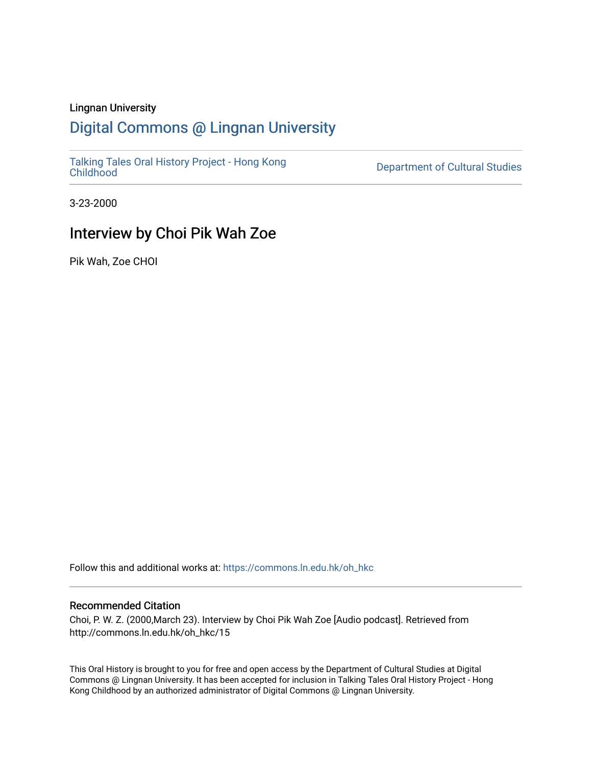#### Lingnan University

## [Digital Commons @ Lingnan University](https://commons.ln.edu.hk/)

[Talking Tales Oral History Project - Hong Kong](https://commons.ln.edu.hk/oh_hkc)

Department of Cultural Studies

3-23-2000

## Interview by Choi Pik Wah Zoe

Pik Wah, Zoe CHOI

Follow this and additional works at: [https://commons.ln.edu.hk/oh\\_hkc](https://commons.ln.edu.hk/oh_hkc?utm_source=commons.ln.edu.hk%2Foh_hkc%2F15&utm_medium=PDF&utm_campaign=PDFCoverPages) 

#### Recommended Citation

Choi, P. W. Z. (2000,March 23). Interview by Choi Pik Wah Zoe [Audio podcast]. Retrieved from http://commons.ln.edu.hk/oh\_hkc/15

This Oral History is brought to you for free and open access by the Department of Cultural Studies at Digital Commons @ Lingnan University. It has been accepted for inclusion in Talking Tales Oral History Project - Hong Kong Childhood by an authorized administrator of Digital Commons @ Lingnan University.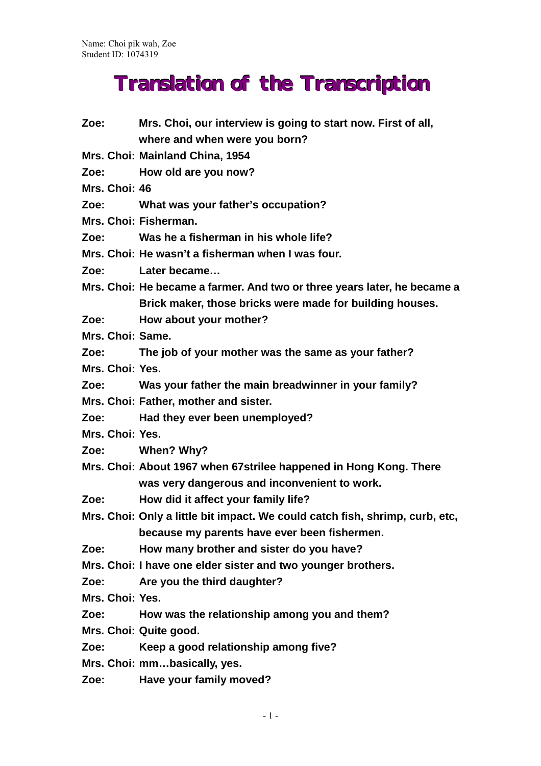# **Translation of the Transcription**

| Zoe: www.                                                                                            | Mrs. Choi, our interview is going to start now. First of all,                |
|------------------------------------------------------------------------------------------------------|------------------------------------------------------------------------------|
|                                                                                                      | where and when were you born?                                                |
|                                                                                                      | Mrs. Choi: Mainland China, 1954                                              |
| Zoe:                                                                                                 | How old are you now?                                                         |
| Mrs. Choi: 46                                                                                        |                                                                              |
| Zoe:                                                                                                 | What was your father's occupation?                                           |
|                                                                                                      | Mrs. Choi: Fisherman.                                                        |
| Zoe:                                                                                                 | Was he a fisherman in his whole life?                                        |
|                                                                                                      | Mrs. Choi: He wasn't a fisherman when I was four.                            |
| Zoe:                                                                                                 | Later became                                                                 |
|                                                                                                      | Mrs. Choi: He became a farmer. And two or three years later, he became a     |
|                                                                                                      | Brick maker, those bricks were made for building houses.                     |
| Zoe: www.                                                                                            | How about your mother?                                                       |
| Mrs. Choi: Same.                                                                                     |                                                                              |
| Zoe: www.                                                                                            | The job of your mother was the same as your father?                          |
| Mrs. Choi: Yes.                                                                                      |                                                                              |
| Zoe: The Society                                                                                     | Was your father the main breadwinner in your family?                         |
|                                                                                                      | Mrs. Choi: Father, mother and sister.                                        |
| Zoe:                                                                                                 | Had they ever been unemployed?                                               |
| Mrs. Choi: Yes.                                                                                      |                                                                              |
| Zoe: The Solid State State State State State State State State State State State State State State S | When? Why?                                                                   |
|                                                                                                      | Mrs. Choi: About 1967 when 67strilee happened in Hong Kong. There            |
|                                                                                                      | was very dangerous and inconvenient to work.                                 |
| Zoe:                                                                                                 | How did it affect your family life?                                          |
|                                                                                                      | Mrs. Choi: Only a little bit impact. We could catch fish, shrimp, curb, etc, |
|                                                                                                      | because my parents have ever been fishermen.                                 |
| Zoe:                                                                                                 | How many brother and sister do you have?                                     |
|                                                                                                      | Mrs. Choi: I have one elder sister and two younger brothers.                 |
| Zoe:                                                                                                 | Are you the third daughter?                                                  |
| Mrs. Choi: Yes.                                                                                      |                                                                              |
| Zoe:                                                                                                 | How was the relationship among you and them?                                 |
|                                                                                                      | Mrs. Choi: Quite good.                                                       |
| Zoe:                                                                                                 | Keep a good relationship among five?                                         |
|                                                                                                      | Mrs. Choi: mmbasically, yes.                                                 |
| Zoe:                                                                                                 | Have your family moved?                                                      |
|                                                                                                      |                                                                              |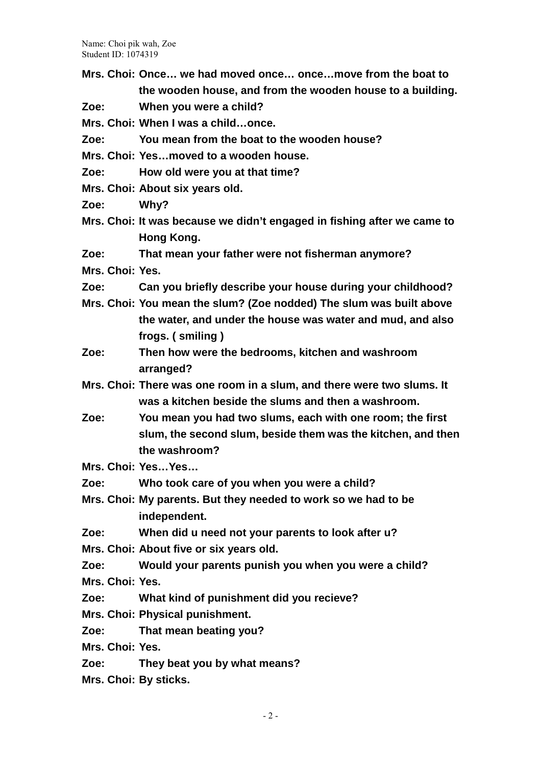- **Mrs. Choi: Once… we had moved once… once…move from the boat to the wooden house, and from the wooden house to a building.**
- **Zoe: When you were a child?**

**Mrs. Choi: When I was a child…once.**

**Zoe: You mean from the boat to the wooden house?**

**Mrs. Choi: Yes…moved to a wooden house.**

**Zoe: How old were you at that time?**

- **Mrs. Choi: About six years old.**
- **Zoe: Why?**
- **Mrs. Choi: It was because we didn't engaged in fishing after we came to Hong Kong.**
- **Zoe: That mean your father were not fisherman anymore?**
- **Mrs. Choi: Yes.**
- **Zoe: Can you briefly describe your house during your childhood?**
- **Mrs. Choi: You mean the slum? (Zoe nodded) The slum was built above the water, and under the house was water and mud, and also frogs. ( smiling )**
- **Zoe: Then how were the bedrooms, kitchen and washroom arranged?**
- **Mrs. Choi: There was one room in a slum, and there were two slums. It was a kitchen beside the slums and then a washroom.**
- **Zoe: You mean you had two slums, each with one room; the first slum, the second slum, beside them was the kitchen, and then the washroom?**

**Mrs. Choi: Yes…Yes…**

- **Zoe: Who took care of you when you were a child?**
- **Mrs. Choi: My parents. But they needed to work so we had to be independent.**
- **Zoe: When did u need not your parents to look after u?**
- **Mrs. Choi: About five or six years old.**

**Zoe: Would your parents punish you when you were a child?**

**Mrs. Choi: Yes.**

- **Zoe: What kind of punishment did you recieve?**
- **Mrs. Choi: Physical punishment.**
- **Zoe: That mean beating you?**

**Mrs. Choi: Yes.**

- **Zoe: They beat you by what means?**
- **Mrs. Choi: By sticks.**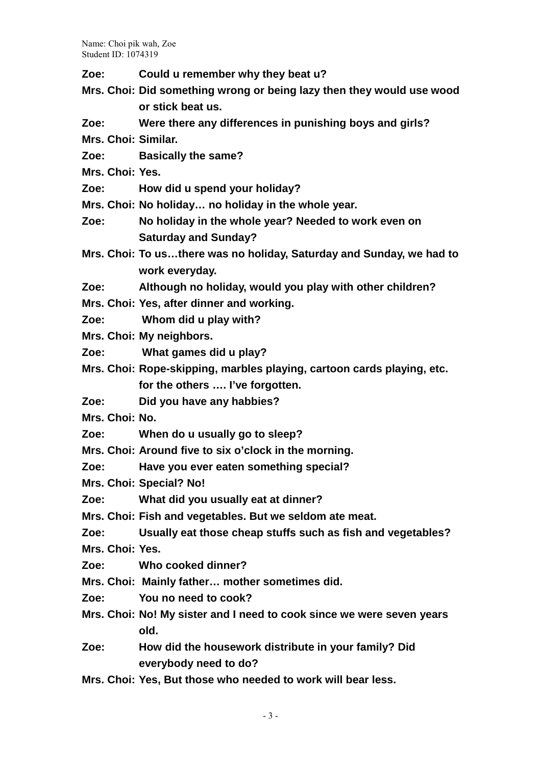- **Zoe: Could u remember why they beat u?**
- **Mrs. Choi: Did something wrong or being lazy then they would use wood or stick beat us.**
- **Zoe: Were there any differences in punishing boys and girls?**
- **Mrs. Choi: Similar.**
- **Zoe: Basically the same?**
- **Mrs. Choi: Yes.**
- **Zoe: How did u spend your holiday?**
- **Mrs. Choi: No holiday… no holiday in the whole year.**
- **Zoe: No holiday in the whole year? Needed to work even on Saturday and Sunday?**
- **Mrs. Choi: To us…there was no holiday, Saturday and Sunday, we had to work everyday.**
- **Zoe: Although no holiday, would you play with other children?**
- **Mrs. Choi: Yes, after dinner and working.**
- **Zoe: Whom did u play with?**
- **Mrs. Choi: My neighbors.**
- **Zoe: What games did u play?**
- **Mrs. Choi: Rope-skipping, marbles playing, cartoon cards playing, etc. for the others …. I've forgotten.**
- **Zoe: Did you have any habbies?**
- **Mrs. Choi: No.**
- **Zoe: When do u usually go to sleep?**
- **Mrs. Choi: Around five to six o'clock in the morning.**
- **Zoe: Have you ever eaten something special?**
- **Mrs. Choi: Special? No!**
- **Zoe: What did you usually eat at dinner?**
- **Mrs. Choi: Fish and vegetables. But we seldom ate meat.**
- **Zoe: Usually eat those cheap stuffs such as fish and vegetables?**
- **Mrs. Choi: Yes.**
- **Zoe: Who cooked dinner?**
- **Mrs. Choi: Mainly father… mother sometimes did.**
- **Zoe: You no need to cook?**
- **Mrs. Choi: No! My sister and I need to cook since we were seven years old.**
- **Zoe: How did the housework distribute in your family? Did everybody need to do?**
- **Mrs. Choi: Yes, But those who needed to work will bear less.**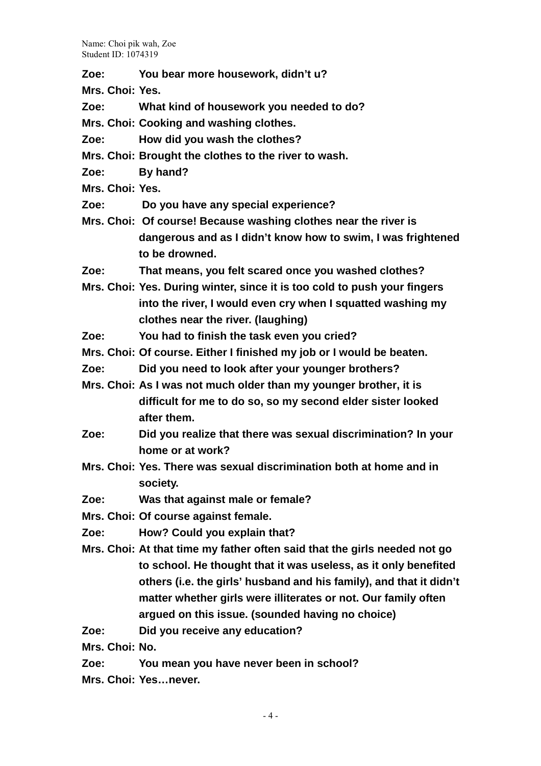**Zoe: You bear more housework, didn't u?**

**Mrs. Choi: Yes.**

**Zoe: What kind of housework you needed to do?**

**Mrs. Choi: Cooking and washing clothes.**

- **Zoe: How did you wash the clothes?**
- **Mrs. Choi: Brought the clothes to the river to wash.**
- **Zoe: By hand?**
- **Mrs. Choi: Yes.**
- **Zoe: Do you have any special experience?**
- **Mrs. Choi: Of course! Because washing clothes near the river is dangerous and as I didn't know how to swim, I was frightened to be drowned.**
- **Zoe: That means, you felt scared once you washed clothes?**
- **Mrs. Choi: Yes. During winter, since it is too cold to push your fingers into the river, I would even cry when I squatted washing my clothes near the river. (laughing)**
- **Zoe: You had to finish the task even you cried?**
- **Mrs. Choi: Of course. Either I finished my job or I would be beaten.**
- **Zoe: Did you need to look after your younger brothers?**
- **Mrs. Choi: As I was not much older than my younger brother, it is difficult for me to do so, so my second elder sister looked after them.**
- **Zoe: Did you realize that there was sexual discrimination? In your home or at work?**
- **Mrs. Choi: Yes. There was sexual discrimination both at home and in society.**
- **Zoe: Was that against male or female?**
- **Mrs. Choi: Of course against female.**
- **Zoe: How? Could you explain that?**
- **Mrs. Choi: At that time my father often said that the girls needed not go to school. He thought that it was useless, as it only benefited others (i.e. the girls' husband and his family), and that it didn't matter whether girls were illiterates or not. Our family often argued on this issue. (sounded having no choice)**
- **Zoe: Did you receive any education?**

**Mrs. Choi: No.**

**Zoe: You mean you have never been in school?**

**Mrs. Choi: Yes…never.**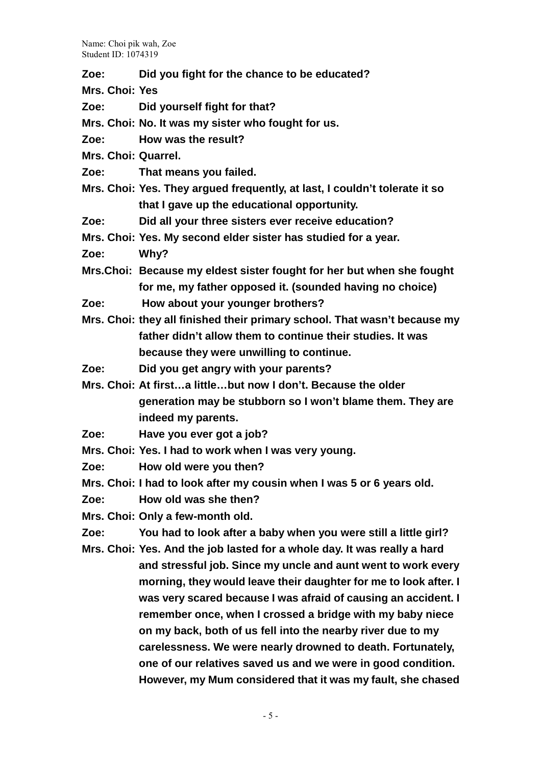- **Zoe: Did you fight for the chance to be educated?**
- **Mrs. Choi: Yes**
- **Zoe: Did yourself fight for that?**
- **Mrs. Choi: No. It was my sister who fought for us.**
- **Zoe: How was the result?**
- **Mrs. Choi: Quarrel.**
- **Zoe: That means you failed.**
- **Mrs. Choi: Yes. They argued frequently, at last, I couldn't tolerate it so that I gave up the educational opportunity.**
- **Zoe: Did all your three sisters ever receive education?**
- **Mrs. Choi: Yes. My second elder sister has studied for a year.**
- **Zoe: Why?**
- **Mrs.Choi: Because my eldest sister fought for her but when she fought for me, my father opposed it. (sounded having no choice)**
- **Zoe: How about your younger brothers?**
- **Mrs. Choi: they all finished their primary school. That wasn't because my father didn't allow them to continue their studies. It was because they were unwilling to continue.**
- **Zoe: Did you get angry with your parents?**
- **Mrs. Choi: At first…a little…but now I don't. Because the older generation may be stubborn so I won't blame them. They are indeed my parents.**
- **Zoe: Have you ever got a job?**
- **Mrs. Choi: Yes. I had to work when I was very young.**
- **Zoe: How old were you then?**
- **Mrs. Choi: I had to look after my cousin when I was 5 or 6 years old.**
- **Zoe: How old was she then?**
- **Mrs. Choi: Only a few-month old.**
- **Zoe: You had to look after a baby when you were still a little girl?**
- **Mrs. Choi: Yes. And the job lasted for a whole day. It was really a hard and stressful job. Since my uncle and aunt went to work every morning, they would leave their daughter for me to look after. I was very scared because I was afraid of causing an accident. I remember once, when I crossed a bridge with my baby niece on my back, both of us fell into the nearby river due to my carelessness. We were nearly drowned to death. Fortunately, one of our relatives saved us and we were in good condition. However, my Mum considered that it was my fault, she chased**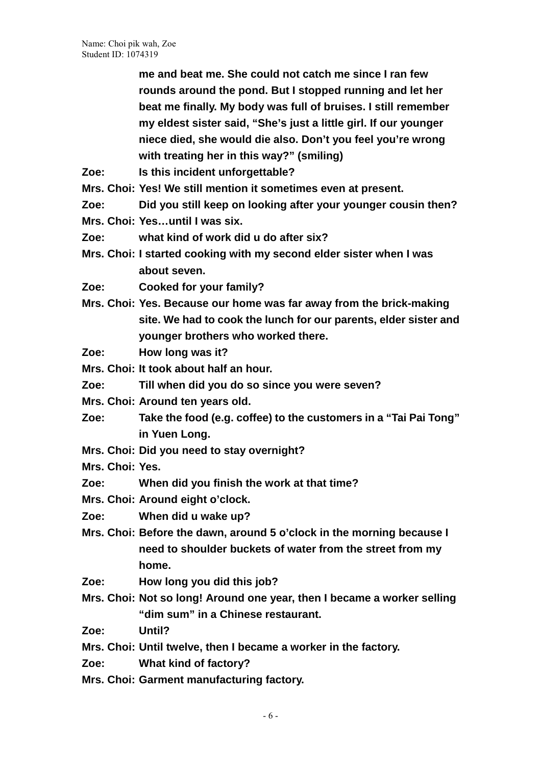> **me and beat me. She could not catch me since I ran few rounds around the pond. But I stopped running and let her beat me finally. My body was full of bruises. I still remember my eldest sister said, "She's just a little girl. If our younger niece died, she would die also. Don't you feel you're wrong with treating her in this way?" (smiling)**

- **Zoe: Is this incident unforgettable?**
- **Mrs. Choi: Yes! We still mention it sometimes even at present.**
- **Zoe: Did you still keep on looking after your younger cousin then?**
- **Mrs. Choi: Yes…until I was six.**
- **Zoe: what kind of work did u do after six?**
- **Mrs. Choi: I started cooking with my second elder sister when I was about seven.**
- **Zoe: Cooked for your family?**
- **Mrs. Choi: Yes. Because our home was far away from the brick-making site. We had to cook the lunch for our parents, elder sister and younger brothers who worked there.**
- **Zoe: How long was it?**
- **Mrs. Choi: It took about half an hour.**
- **Zoe: Till when did you do so since you were seven?**
- **Mrs. Choi: Around ten years old.**
- **Zoe: Take the food (e.g. coffee) to the customers in a "Tai Pai Tong" in Yuen Long.**
- **Mrs. Choi: Did you need to stay overnight?**
- **Mrs. Choi: Yes.**
- **Zoe: When did you finish the work at that time?**
- **Mrs. Choi: Around eight o'clock.**
- **Zoe: When did u wake up?**
- **Mrs. Choi: Before the dawn, around 5 o'clock in the morning because I need to shoulder buckets of water from the street from my home.**
- **Zoe: How long you did this job?**
- **Mrs. Choi: Not so long! Around one year, then I became a worker selling "dim sum" in a Chinese restaurant.**
- **Zoe: Until?**
- **Mrs. Choi: Until twelve, then I became a worker in the factory.**
- **Zoe: What kind of factory?**
- **Mrs. Choi: Garment manufacturing factory.**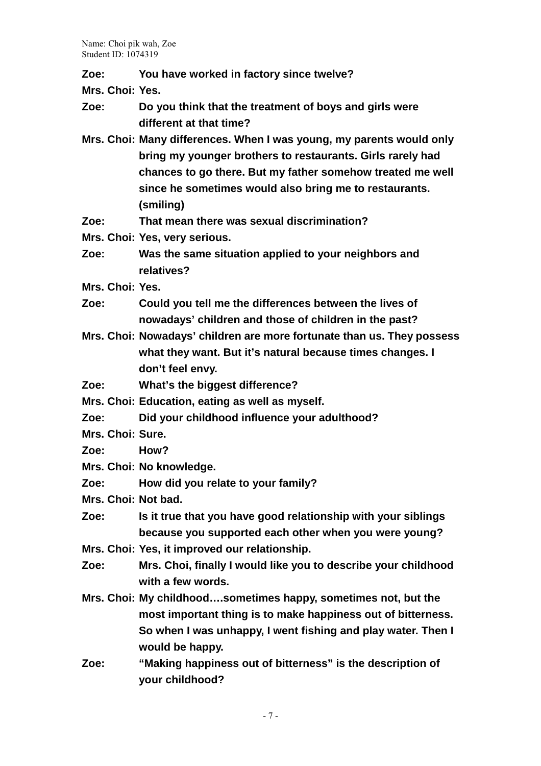**Zoe: You have worked in factory since twelve?**

**Mrs. Choi: Yes.**

- **Zoe: Do you think that the treatment of boys and girls were different at that time?**
- **Mrs. Choi: Many differences. When I was young, my parents would only bring my younger brothers to restaurants. Girls rarely had chances to go there. But my father somehow treated me well since he sometimes would also bring me to restaurants. (smiling)**
- **Zoe: That mean there was sexual discrimination?**
- **Mrs. Choi: Yes, very serious.**
- **Zoe: Was the same situation applied to your neighbors and relatives?**
- **Mrs. Choi: Yes.**
- **Zoe: Could you tell me the differences between the lives of nowadays' children and those of children in the past?**
- **Mrs. Choi: Nowadays' children are more fortunate than us. They possess what they want. But it's natural because times changes. I don't feel envy.**
- **Zoe: What's the biggest difference?**
- **Mrs. Choi: Education, eating as well as myself.**
- **Zoe: Did your childhood influence your adulthood?**
- **Mrs. Choi: Sure.**
- **Zoe: How?**
- **Mrs. Choi: No knowledge.**
- **Zoe: How did you relate to your family?**
- **Mrs. Choi: Not bad.**
- **Zoe: Is it true that you have good relationship with your siblings because you supported each other when you were young?**
- **Mrs. Choi: Yes, it improved our relationship.**
- **Zoe: Mrs. Choi, finally I would like you to describe your childhood with a few words.**
- **Mrs. Choi: My childhood….sometimes happy, sometimes not, but the most important thing is to make happiness out of bitterness. So when I was unhappy, I went fishing and play water. Then I would be happy.**
- **Zoe: "Making happiness out of bitterness" is the description of your childhood?**